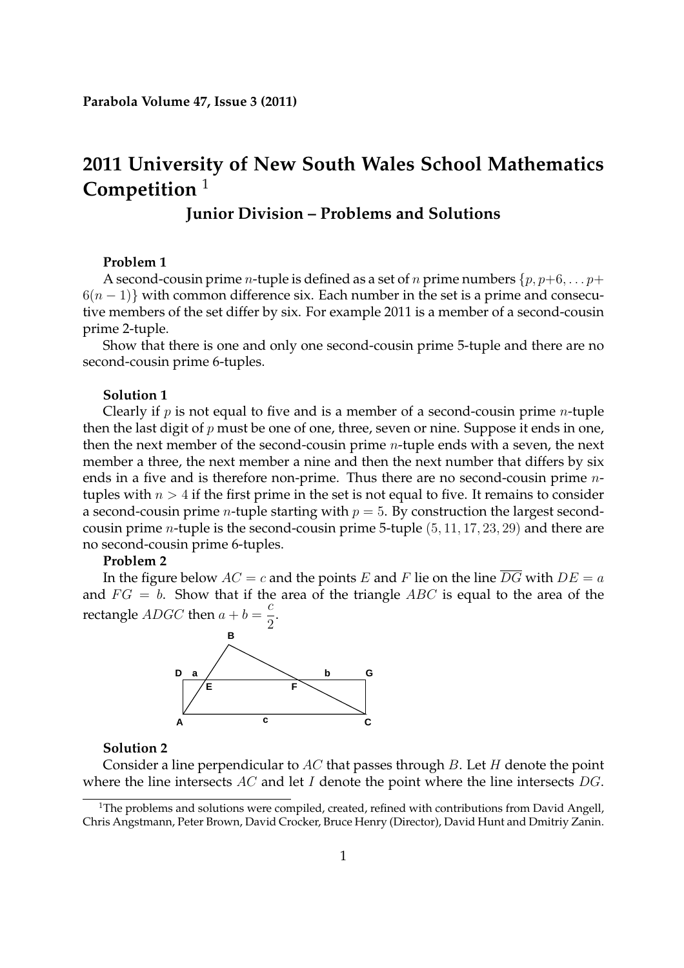# **2011 University of New South Wales School Mathematics Competition** <sup>1</sup>

# **Junior Division – Problems and Solutions**

# **Problem 1**

A second-cousin prime *n*-tuple is defined as a set of *n* prime numbers  $\{p, p+6, \ldots p+\}$  $6(n-1)$ } with common difference six. Each number in the set is a prime and consecutive members of the set differ by six. For example 2011 is a member of a second-cousin prime 2-tuple.

Show that there is one and only one second-cousin prime 5-tuple and there are no second-cousin prime 6-tuples.

## **Solution 1**

Clearly if  $p$  is not equal to five and is a member of a second-cousin prime *n*-tuple then the last digit of  $p$  must be one of one, three, seven or nine. Suppose it ends in one, then the next member of the second-cousin prime n-tuple ends with a seven, the next member a three, the next member a nine and then the next number that differs by six ends in a five and is therefore non-prime. Thus there are no second-cousin prime ntuples with  $n > 4$  if the first prime in the set is not equal to five. It remains to consider a second-cousin prime *n*-tuple starting with  $p = 5$ . By construction the largest secondcousin prime *n*-tuple is the second-cousin prime 5-tuple  $(5, 11, 17, 23, 29)$  and there are no second-cousin prime 6-tuples.

#### **Problem 2**

In the figure below  $AC = c$  and the points E and F lie on the line  $\overline{DG}$  with  $DE = a$ and  $FG = b$ . Show that if the area of the triangle ABC is equal to the area of the rectangle  $ADGC$  then  $a + b =$ c  $\frac{1}{2}$ .



### **Solution 2**

Consider a line perpendicular to AC that passes through B. Let H denote the point where the line intersects  $AC$  and let I denote the point where the line intersects  $DG$ .

<sup>&</sup>lt;sup>1</sup>The problems and solutions were compiled, created, refined with contributions from David Angell, Chris Angstmann, Peter Brown, David Crocker, Bruce Henry (Director), David Hunt and Dmitriy Zanin.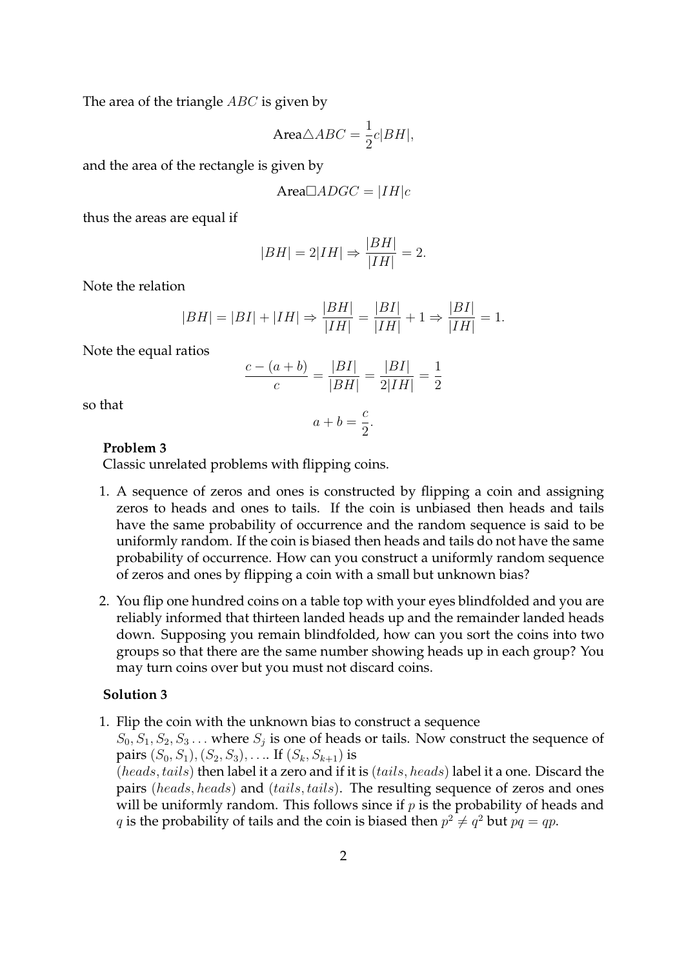The area of the triangle *ABC* is given by

$$
Area\triangle ABC = \frac{1}{2}c|BH|,
$$

and the area of the rectangle is given by

$$
Area \Box ADC = |IH|c
$$

thus the areas are equal if

$$
|BH| = 2|IH| \Rightarrow \frac{|BH|}{|IH|} = 2.
$$

Note the relation

$$
|BH| = |BI| + |IH| \Rightarrow \frac{|BH|}{|IH|} = \frac{|BI|}{|IH|} + 1 \Rightarrow \frac{|BI|}{|IH|} = 1.
$$

Note the equal ratios

$$
\frac{c - (a + b)}{c} = \frac{|BI|}{|BH|} = \frac{|BI|}{2|IH|} = \frac{1}{2}
$$

so that

$$
a+b=\frac{c}{2}.
$$

### **Problem 3**

Classic unrelated problems with flipping coins.

- 1. A sequence of zeros and ones is constructed by flipping a coin and assigning zeros to heads and ones to tails. If the coin is unbiased then heads and tails have the same probability of occurrence and the random sequence is said to be uniformly random. If the coin is biased then heads and tails do not have the same probability of occurrence. How can you construct a uniformly random sequence of zeros and ones by flipping a coin with a small but unknown bias?
- 2. You flip one hundred coins on a table top with your eyes blindfolded and you are reliably informed that thirteen landed heads up and the remainder landed heads down. Supposing you remain blindfolded, how can you sort the coins into two groups so that there are the same number showing heads up in each group? You may turn coins over but you must not discard coins.

### **Solution 3**

1. Flip the coin with the unknown bias to construct a sequence

 $S_0, S_1, S_2, S_3 \dots$  where  $S_j$  is one of heads or tails. Now construct the sequence of pairs  $(S_0, S_1), (S_2, S_3), \ldots$  If  $(S_k, S_{k+1})$  is

(heads, tails) then label it a zero and if it is (tails, heads) label it a one. Discard the pairs (heads, heads) and (tails, tails). The resulting sequence of zeros and ones will be uniformly random. This follows since if  $p$  is the probability of heads and q is the probability of tails and the coin is biased then  $p^2 \neq q^2$  but  $pq = qp$ .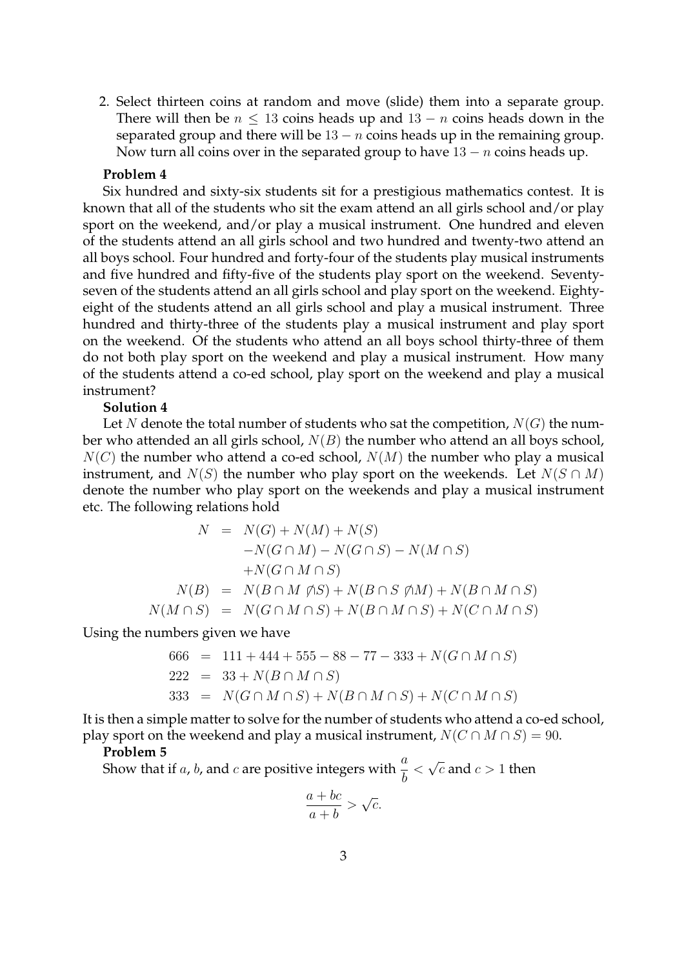2. Select thirteen coins at random and move (slide) them into a separate group. There will then be  $n \leq 13$  coins heads up and  $13 - n$  coins heads down in the separated group and there will be  $13 - n$  coins heads up in the remaining group. Now turn all coins over in the separated group to have  $13 - n$  coins heads up.

### **Problem 4**

Six hundred and sixty-six students sit for a prestigious mathematics contest. It is known that all of the students who sit the exam attend an all girls school and/or play sport on the weekend, and/or play a musical instrument. One hundred and eleven of the students attend an all girls school and two hundred and twenty-two attend an all boys school. Four hundred and forty-four of the students play musical instruments and five hundred and fifty-five of the students play sport on the weekend. Seventyseven of the students attend an all girls school and play sport on the weekend. Eightyeight of the students attend an all girls school and play a musical instrument. Three hundred and thirty-three of the students play a musical instrument and play sport on the weekend. Of the students who attend an all boys school thirty-three of them do not both play sport on the weekend and play a musical instrument. How many of the students attend a co-ed school, play sport on the weekend and play a musical instrument?

# **Solution 4**

Let N denote the total number of students who sat the competition,  $N(G)$  the number who attended an all girls school,  $N(B)$  the number who attend an all boys school,  $N(C)$  the number who attend a co-ed school,  $N(M)$  the number who play a musical instrument, and  $N(S)$  the number who play sport on the weekends. Let  $N(S \cap M)$ denote the number who play sport on the weekends and play a musical instrument etc. The following relations hold

$$
N = N(G) + N(M) + N(S)
$$
  
\n
$$
-N(G \cap M) - N(G \cap S) - N(M \cap S)
$$
  
\n
$$
+ N(G \cap M \cap S)
$$
  
\n
$$
N(B) = N(B \cap M \nsubseteq S) + N(B \cap S \nsubseteq M) + N(B \cap M \cap S)
$$
  
\n
$$
N(M \cap S) = N(G \cap M \cap S) + N(B \cap M \cap S) + N(C \cap M \cap S)
$$

Using the numbers given we have

$$
666 = 111 + 444 + 555 - 88 - 77 - 333 + N(G \cap M \cap S)
$$
  
\n
$$
222 = 33 + N(B \cap M \cap S)
$$
  
\n
$$
333 = N(G \cap M \cap S) + N(B \cap M \cap S) + N(C \cap M \cap S)
$$

It is then a simple matter to solve for the number of students who attend a co-ed school, play sport on the weekend and play a musical instrument,  $N(C \cap M \cap S) = 90$ .

### **Problem 5**

Show that if a, b, and c are positive integers with  $\frac{a}{b}$  $\langle \sqrt{c} \text{ and } c \rangle$  1 then

$$
\frac{a+bc}{a+b} > \sqrt{c}.
$$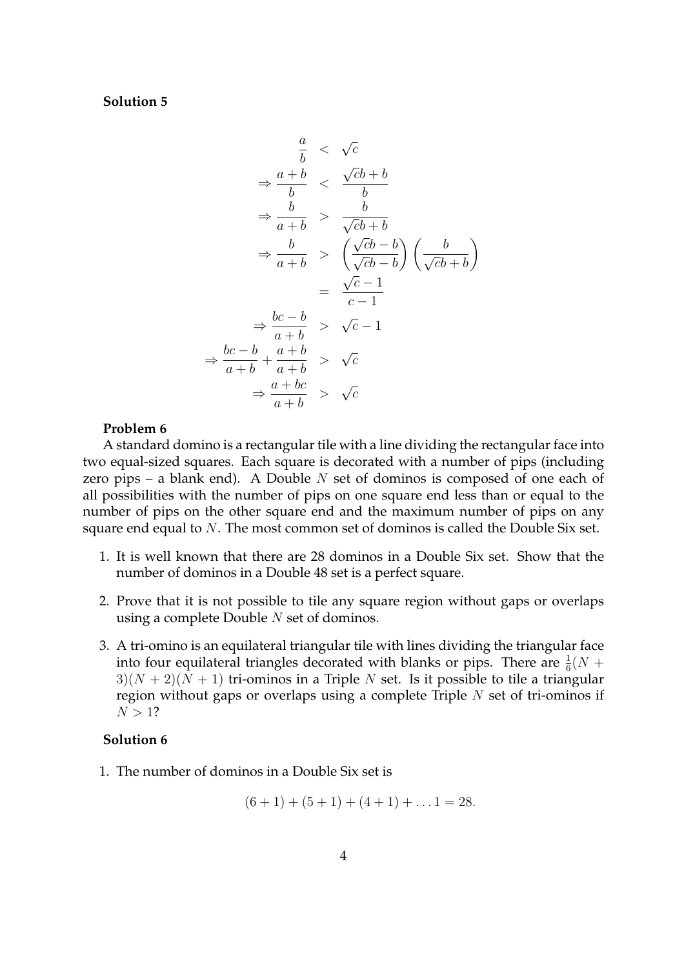# **Solution 5**

$$
\frac{a}{b} < \sqrt{c}
$$
\n
$$
\Rightarrow \frac{a+b}{b} < \frac{\sqrt{c}b+b}{b}
$$
\n
$$
\Rightarrow \frac{b}{a+b} > \frac{b}{\sqrt{c}b+b}
$$
\n
$$
\Rightarrow \frac{b}{a+b} > \left(\frac{\sqrt{c}b-b}{\sqrt{c}b-b}\right)\left(\frac{b}{\sqrt{c}b+b}\right)
$$
\n
$$
= \frac{\sqrt{c}-1}{c-1}
$$
\n
$$
\Rightarrow \frac{bc-b}{a+b} > \sqrt{c}-1
$$
\n
$$
\Rightarrow \frac{bc-b}{a+b} + \frac{a+b}{a+b} > \sqrt{c}
$$
\n
$$
\Rightarrow \frac{a+bc}{a+b} > \sqrt{c}
$$

#### **Problem 6**

A standard domino is a rectangular tile with a line dividing the rectangular face into two equal-sized squares. Each square is decorated with a number of pips (including zero pips – a blank end). A Double  $N$  set of dominos is composed of one each of all possibilities with the number of pips on one square end less than or equal to the number of pips on the other square end and the maximum number of pips on any square end equal to N. The most common set of dominos is called the Double Six set.

- 1. It is well known that there are 28 dominos in a Double Six set. Show that the number of dominos in a Double 48 set is a perfect square.
- 2. Prove that it is not possible to tile any square region without gaps or overlaps using a complete Double  $N$  set of dominos.
- 3. A tri-omino is an equilateral triangular tile with lines dividing the triangular face into four equilateral triangles decorated with blanks or pips. There are  $\frac{1}{6}(N +$  $3(N + 2)(N + 1)$  tri-ominos in a Triple N set. Is it possible to tile a triangular region without gaps or overlaps using a complete Triple  $N$  set of tri-ominos if  $N > 1?$

# **Solution 6**

1. The number of dominos in a Double Six set is

 $(6+1) + (5+1) + (4+1) + \ldots$  1 = 28.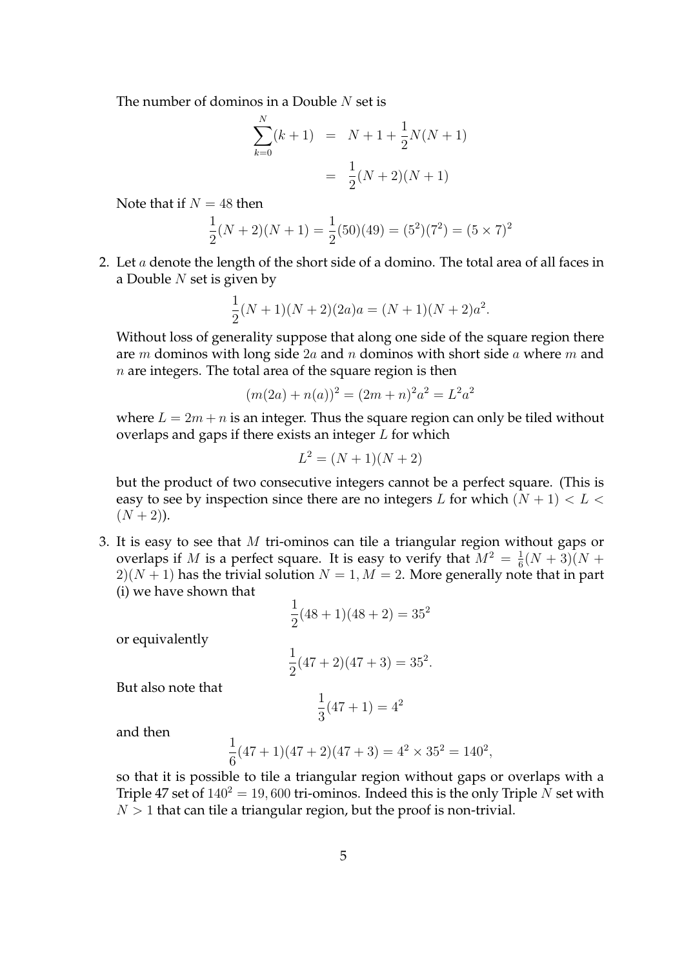The number of dominos in a Double  $N$  set is

$$
\sum_{k=0}^{N} (k+1) = N + 1 + \frac{1}{2}N(N+1)
$$

$$
= \frac{1}{2}(N+2)(N+1)
$$

Note that if  $N = 48$  then

$$
\frac{1}{2}(N+2)(N+1) = \frac{1}{2}(50)(49) = (5^2)(7^2) = (5 \times 7)^2
$$

2. Let  $a$  denote the length of the short side of a domino. The total area of all faces in a Double  $N$  set is given by

$$
\frac{1}{2}(N+1)(N+2)(2a)a = (N+1)(N+2)a^{2}.
$$

Without loss of generality suppose that along one side of the square region there are m dominos with long side  $2a$  and n dominos with short side a where m and  $n$  are integers. The total area of the square region is then

$$
(m(2a) + n(a))^2 = (2m+n)^2 a^2 = L^2 a^2
$$

where  $L = 2m + n$  is an integer. Thus the square region can only be tiled without overlaps and gaps if there exists an integer  $L$  for which

$$
L^2 = (N+1)(N+2)
$$

but the product of two consecutive integers cannot be a perfect square. (This is easy to see by inspection since there are no integers L for which  $(N + 1) < L <$  $(N + 2)$ ).

3. It is easy to see that M tri-ominos can tile a triangular region without gaps or overlaps if M is a perfect square. It is easy to verify that  $M^2 = \frac{1}{6}$  $\frac{1}{6}(N+3)(N+$  $2(N + 1)$  has the trivial solution  $N = 1, M = 2$ . More generally note that in part (i) we have shown that

$$
\frac{1}{2}(48+1)(48+2) = 35^2
$$

or equivalently

$$
\frac{1}{2}(47+2)(47+3) = 35^2.
$$

But also note that

$$
\frac{1}{3}(47+1) = 4^2
$$

and then

$$
\frac{1}{6}(47+1)(47+2)(47+3) = 4^2 \times 35^2 = 140^2,
$$

so that it is possible to tile a triangular region without gaps or overlaps with a Triple 47 set of  $140^2 = 19,600$  tri-ominos. Indeed this is the only Triple N set with  $N > 1$  that can tile a triangular region, but the proof is non-trivial.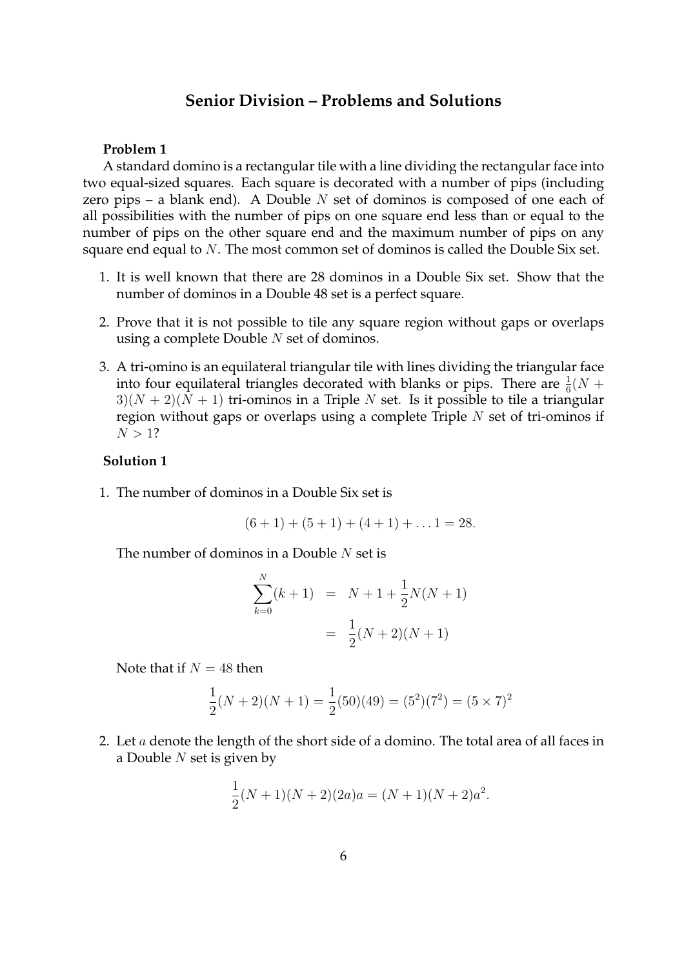# **Senior Division – Problems and Solutions**

# **Problem 1**

A standard domino is a rectangular tile with a line dividing the rectangular face into two equal-sized squares. Each square is decorated with a number of pips (including zero pips – a blank end). A Double  $N$  set of dominos is composed of one each of all possibilities with the number of pips on one square end less than or equal to the number of pips on the other square end and the maximum number of pips on any square end equal to N. The most common set of dominos is called the Double Six set.

- 1. It is well known that there are 28 dominos in a Double Six set. Show that the number of dominos in a Double 48 set is a perfect square.
- 2. Prove that it is not possible to tile any square region without gaps or overlaps using a complete Double N set of dominos.
- 3. A tri-omino is an equilateral triangular tile with lines dividing the triangular face into four equilateral triangles decorated with blanks or pips. There are  $\frac{1}{6}(N +$  $3(1(N+2)(N+1))$  tri-ominos in a Triple N set. Is it possible to tile a triangular region without gaps or overlaps using a complete Triple  $N$  set of tri-ominos if  $N > 1?$

# **Solution 1**

1. The number of dominos in a Double Six set is

$$
(6+1) + (5+1) + (4+1) + \ldots 1 = 28.
$$

The number of dominos in a Double  $N$  set is

$$
\sum_{k=0}^{N} (k+1) = N + 1 + \frac{1}{2}N(N+1)
$$

$$
= \frac{1}{2}(N+2)(N+1)
$$

Note that if  $N = 48$  then

$$
\frac{1}{2}(N+2)(N+1) = \frac{1}{2}(50)(49) = (5^2)(7^2) = (5 \times 7)^2
$$

2. Let  $a$  denote the length of the short side of a domino. The total area of all faces in a Double  $N$  set is given by

$$
\frac{1}{2}(N+1)(N+2)(2a)a = (N+1)(N+2)a^{2}.
$$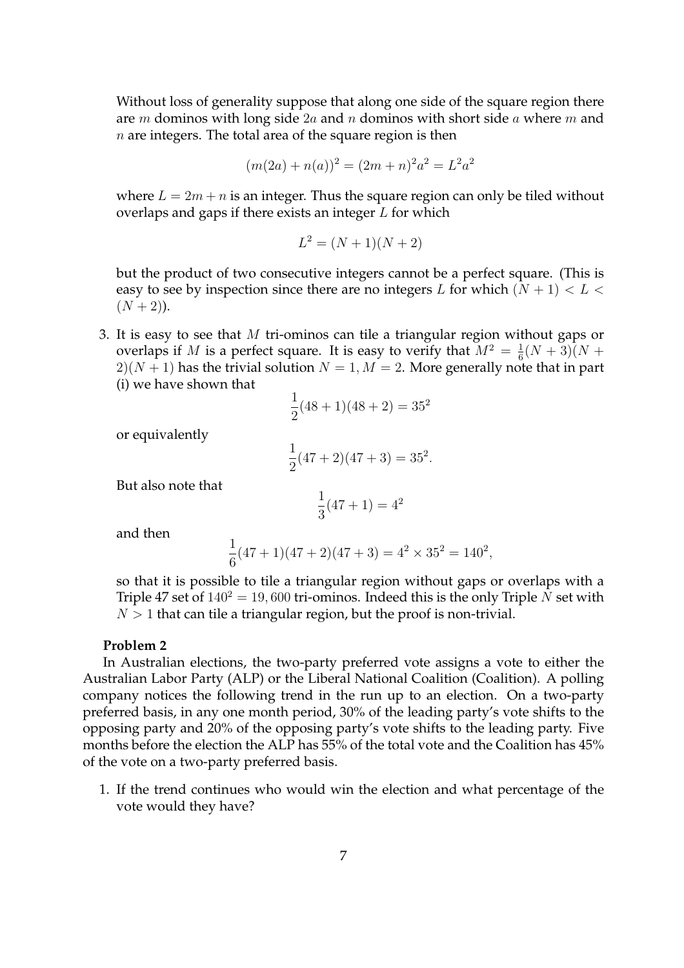Without loss of generality suppose that along one side of the square region there are m dominos with long side  $2a$  and n dominos with short side a where m and  $n$  are integers. The total area of the square region is then

$$
(m(2a) + n(a))^2 = (2m+n)^2 a^2 = L^2 a^2
$$

where  $L = 2m + n$  is an integer. Thus the square region can only be tiled without overlaps and gaps if there exists an integer L for which

$$
L^2 = (N+1)(N+2)
$$

but the product of two consecutive integers cannot be a perfect square. (This is easy to see by inspection since there are no integers L for which  $(N + 1) < L <$  $(N + 2)$ ).

3. It is easy to see that M tri-ominos can tile a triangular region without gaps or overlaps if M is a perfect square. It is easy to verify that  $M^2 = \frac{1}{6}$  $\frac{1}{6}(N+3)(N+$  $2(N + 1)$  has the trivial solution  $N = 1, M = 2$ . More generally note that in part (i) we have shown that

$$
\frac{1}{2}(48+1)(48+2) = 35^2
$$

or equivalently

$$
\frac{1}{2}(47+2)(47+3) = 35^2.
$$

But also note that

$$
\frac{1}{3}(47+1) = 4^2
$$

and then

$$
\frac{1}{6}(47+1)(47+2)(47+3) = 42 \times 352 = 1402,
$$

so that it is possible to tile a triangular region without gaps or overlaps with a Triple 47 set of  $140^2 = 19,600$  tri-ominos. Indeed this is the only Triple N set with  $N > 1$  that can tile a triangular region, but the proof is non-trivial.

### **Problem 2**

In Australian elections, the two-party preferred vote assigns a vote to either the Australian Labor Party (ALP) or the Liberal National Coalition (Coalition). A polling company notices the following trend in the run up to an election. On a two-party preferred basis, in any one month period, 30% of the leading party's vote shifts to the opposing party and 20% of the opposing party's vote shifts to the leading party. Five months before the election the ALP has 55% of the total vote and the Coalition has 45% of the vote on a two-party preferred basis.

1. If the trend continues who would win the election and what percentage of the vote would they have?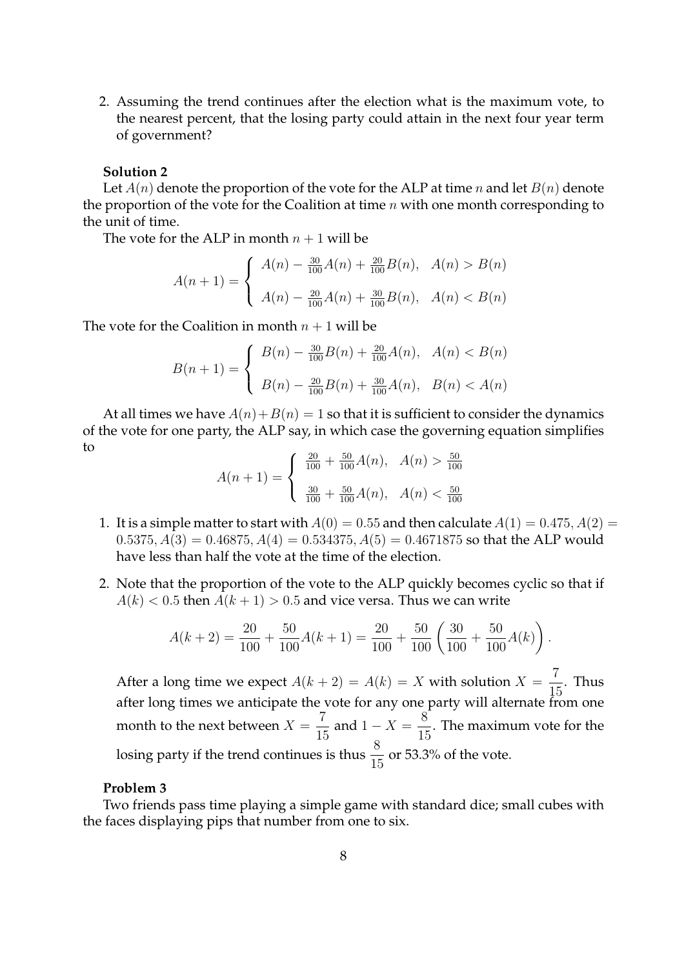2. Assuming the trend continues after the election what is the maximum vote, to the nearest percent, that the losing party could attain in the next four year term of government?

# **Solution 2**

Let  $A(n)$  denote the proportion of the vote for the ALP at time n and let  $B(n)$  denote the proportion of the vote for the Coalition at time  $n$  with one month corresponding to the unit of time.

The vote for the ALP in month  $n + 1$  will be

$$
A(n + 1) = \begin{cases} A(n) - \frac{30}{100}A(n) + \frac{20}{100}B(n), & A(n) > B(n) \\ A(n) - \frac{20}{100}A(n) + \frac{30}{100}B(n), & A(n) < B(n) \end{cases}
$$

The vote for the Coalition in month  $n + 1$  will be

$$
B(n+1) = \begin{cases} B(n) - \frac{30}{100}B(n) + \frac{20}{100}A(n), & A(n) < B(n) \\ B(n) - \frac{20}{100}B(n) + \frac{30}{100}A(n), & B(n) < A(n) \end{cases}
$$

At all times we have  $A(n) + B(n) = 1$  so that it is sufficient to consider the dynamics of the vote for one party, the ALP say, in which case the governing equation simplifies to

$$
A(n+1) = \begin{cases} \frac{20}{100} + \frac{50}{100}A(n), & A(n) > \frac{50}{100} \\ \frac{30}{100} + \frac{50}{100}A(n), & A(n) < \frac{50}{100} \end{cases}
$$

- 1. It is a simple matter to start with  $A(0) = 0.55$  and then calculate  $A(1) = 0.475, A(2) = 0.475$  $(0.5375, A(3) = 0.46875, A(4) = 0.534375, A(5) = 0.4671875$  so that the ALP would have less than half the vote at the time of the election.
- 2. Note that the proportion of the vote to the ALP quickly becomes cyclic so that if  $A(k) < 0.5$  then  $A(k + 1) > 0.5$  and vice versa. Thus we can write

$$
A(k+2) = \frac{20}{100} + \frac{50}{100}A(k+1) = \frac{20}{100} + \frac{50}{100} \left(\frac{30}{100} + \frac{50}{100}A(k)\right).
$$

After a long time we expect  $A(k+2) = A(k) = X$  with solution  $X = \frac{7}{11}$ 15 . Thus after long times we anticipate the vote for any one party will alternate from one month to the next between  $X = \frac{7}{15}$  $\frac{7}{15}$  and  $1 - X = \frac{8}{15}$  $\frac{1}{15}$ . The maximum vote for the losing party if the trend continues is thus  $\frac{8}{15}$  or 53.3% of the vote.

# **Problem 3**

Two friends pass time playing a simple game with standard dice; small cubes with the faces displaying pips that number from one to six.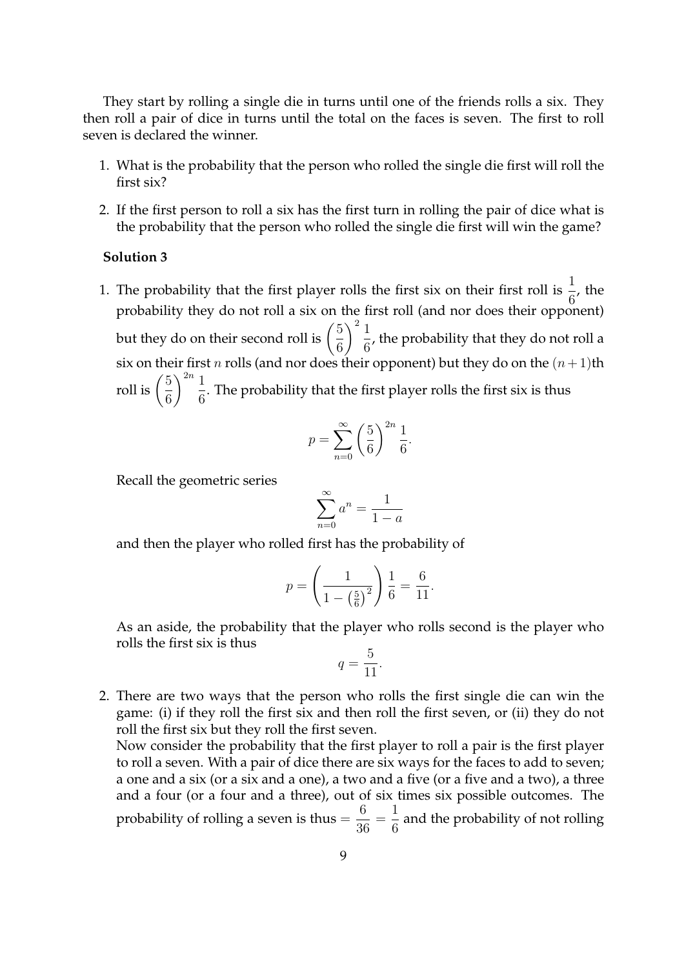They start by rolling a single die in turns until one of the friends rolls a six. They then roll a pair of dice in turns until the total on the faces is seven. The first to roll seven is declared the winner.

- 1. What is the probability that the person who rolled the single die first will roll the first six?
- 2. If the first person to roll a six has the first turn in rolling the pair of dice what is the probability that the person who rolled the single die first will win the game?

### **Solution 3**

1. The probability that the first player rolls the first six on their first roll is  $\frac{1}{6}$ , the probability they do not roll a six on the first roll (and nor does their opponent) but they do on their second roll is  $\left(\frac{5}{6}\right)$ 6  $\bigwedge^2 1$  $\frac{1}{6}$ , the probability that they do not roll a six on their first  $n$  rolls (and nor does their opponent) but they do on the  $(n+1){\rm th}$ roll is  $\left(\frac{5}{c}\right)$ 6  $\big\backslash \big\{2n}$  1  $\frac{1}{6}$ . The probability that the first player rolls the first six is thus

$$
p = \sum_{n=0}^{\infty} \left(\frac{5}{6}\right)^{2n} \frac{1}{6}
$$

.

Recall the geometric series

$$
\sum_{n=0}^{\infty} a^n = \frac{1}{1-a}
$$

and then the player who rolled first has the probability of

$$
p = \left(\frac{1}{1 - \left(\frac{5}{6}\right)^2}\right) \frac{1}{6} = \frac{6}{11}.
$$

As an aside, the probability that the player who rolls second is the player who rolls the first six is thus

$$
q = \frac{5}{11}.
$$

2. There are two ways that the person who rolls the first single die can win the game: (i) if they roll the first six and then roll the first seven, or (ii) they do not roll the first six but they roll the first seven.

Now consider the probability that the first player to roll a pair is the first player to roll a seven. With a pair of dice there are six ways for the faces to add to seven; a one and a six (or a six and a one), a two and a five (or a five and a two), a three and a four (or a four and a three), out of six times six possible outcomes. The probability of rolling a seven is thus  $=$ 6 36 = 1  $\frac{1}{6}$  and the probability of not rolling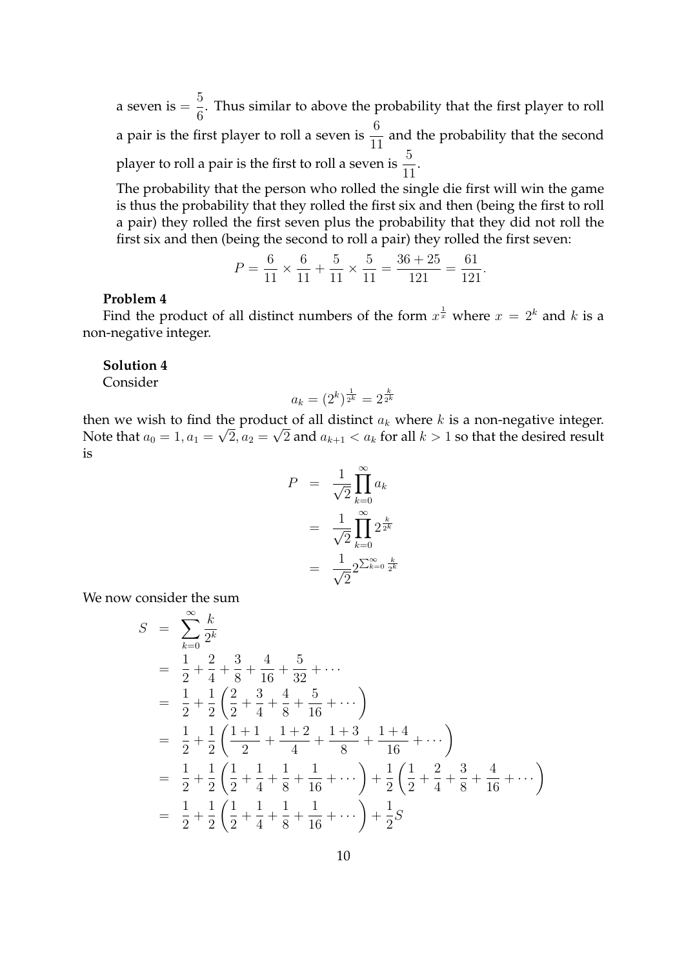a seven is = 5  $\frac{3}{6}$ . Thus similar to above the probability that the first player to roll a pair is the first player to roll a seven is  $\frac{6}{11}$  and the probability that the second player to roll a pair is the first to roll a seven is  $\frac{5}{11}$ .

The probability that the person who rolled the single die first will win the game is thus the probability that they rolled the first six and then (being the first to roll a pair) they rolled the first seven plus the probability that they did not roll the first six and then (being the second to roll a pair) they rolled the first seven:

$$
P = \frac{6}{11} \times \frac{6}{11} + \frac{5}{11} \times \frac{5}{11} = \frac{36 + 25}{121} = \frac{61}{121}
$$

.

### **Problem 4**

Find the product of all distinct numbers of the form  $x^{\frac{1}{x}}$  where  $x = 2^k$  and k is a non-negative integer.

### **Solution 4**

Consider

$$
a_k = (2^k)^{\frac{1}{2^k}} = 2^{\frac{k}{2^k}}
$$

then we wish to find the product of all distinct  $a_k$  where k is a non-negative integer. Note that  $a_0 = 1, a_1 = \sqrt{2}, a_2 = \sqrt{2}$  and  $a_{k+1} < a_k$  for all  $k > 1$  so that the desired result is

$$
P = \frac{1}{\sqrt{2}} \prod_{k=0}^{\infty} a_k
$$
  
= 
$$
\frac{1}{\sqrt{2}} \prod_{k=0}^{\infty} 2^{\frac{k}{2^k}}
$$
  
= 
$$
\frac{1}{\sqrt{2}} 2^{\sum_{k=0}^{\infty} \frac{k}{2^k}}
$$

We now consider the sum

$$
S = \sum_{k=0}^{\infty} \frac{k}{2^k}
$$
  
=  $\frac{1}{2} + \frac{2}{4} + \frac{3}{8} + \frac{4}{16} + \frac{5}{32} + \cdots$   
=  $\frac{1}{2} + \frac{1}{2} \left( \frac{2}{2} + \frac{3}{4} + \frac{4}{8} + \frac{5}{16} + \cdots \right)$   
=  $\frac{1}{2} + \frac{1}{2} \left( \frac{1+1}{2} + \frac{1+2}{4} + \frac{1+3}{8} + \frac{1+4}{16} + \cdots \right)$   
=  $\frac{1}{2} + \frac{1}{2} \left( \frac{1}{2} + \frac{1}{4} + \frac{1}{8} + \frac{1}{16} + \cdots \right) + \frac{1}{2} \left( \frac{1}{2} + \frac{2}{4} + \frac{3}{8} + \frac{4}{16} + \cdots \right)$   
=  $\frac{1}{2} + \frac{1}{2} \left( \frac{1}{2} + \frac{1}{4} + \frac{1}{8} + \frac{1}{16} + \cdots \right) + \frac{1}{2} S$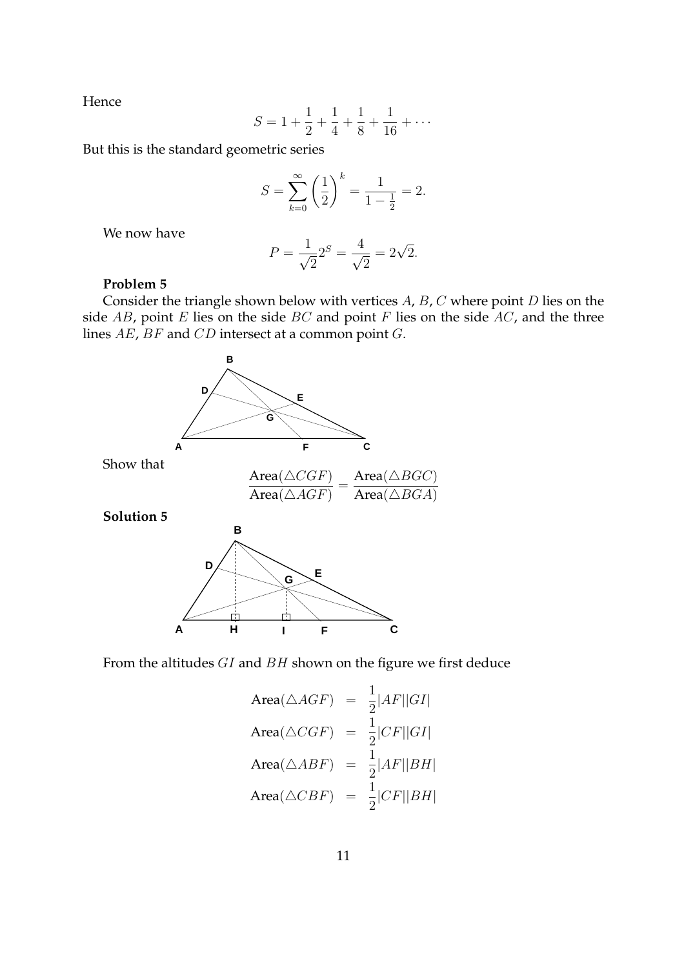Hence

$$
S = 1 + \frac{1}{2} + \frac{1}{4} + \frac{1}{8} + \frac{1}{16} + \dots
$$

But this is the standard geometric series

$$
S = \sum_{k=0}^{\infty} \left(\frac{1}{2}\right)^k = \frac{1}{1 - \frac{1}{2}} = 2.
$$

We now have

$$
P = \frac{1}{\sqrt{2}} 2^{S} = \frac{4}{\sqrt{2}} = 2\sqrt{2}.
$$

## **Problem 5**

Consider the triangle shown below with vertices  $A$ ,  $B$ ,  $C$  where point  $D$  lies on the side  $AB$ , point E lies on the side BC and point F lies on the side AC, and the three lines AE, BF and CD intersect at a common point G.



From the altitudes GI and BH shown on the figure we first deduce

Area(
$$
\triangle AGF
$$
) =  $\frac{1}{2}|AF||GI|$   
\nArea( $\triangle CGF$ ) =  $\frac{1}{2}|CF||GI|$   
\nArea( $\triangle ABF$ ) =  $\frac{1}{2}|AF||BH|$   
\nArea( $\triangle CBF$ ) =  $\frac{1}{2}|CF||BH|$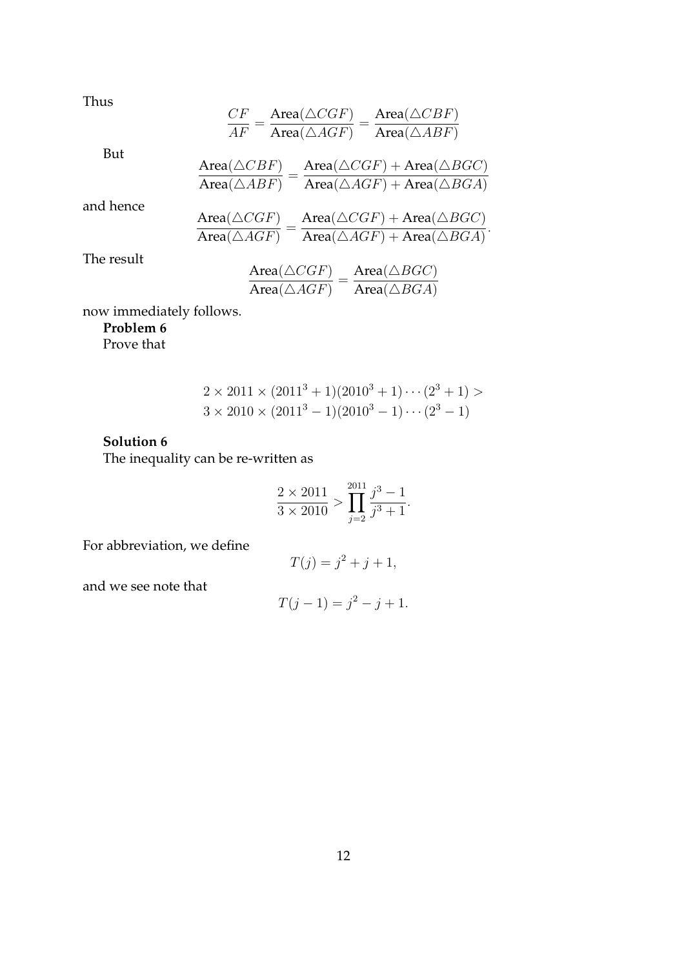Thus

$$
\frac{CF}{AF} = \frac{\text{Area}(\triangle CGF)}{\text{Area}(\triangle AGF)} = \frac{\text{Area}(\triangle CBF)}{\text{Area}(\triangle ABF)}
$$
  
But  

$$
\frac{\text{Area}(\triangle CBF)}{\text{Area}(\triangle ABF)} = \frac{\text{Area}(\triangle CGF) + \text{Area}(\triangle BGC)}{\text{Area}(\triangle ABF)} \text{Area}(\triangle AGF) + \text{Area}(\triangle BGG)}
$$
  
and hence  

$$
\frac{\text{Area}(\triangle CGF)}{\text{Area}(\triangle AGF)} = \frac{\text{Area}(\triangle CGF) + \text{Area}(\triangle BGC)}{\text{Area}(\triangle AGF) + \text{Area}(\triangle BGA)}.
$$
  
The result  

$$
\frac{\text{Area}(\triangle CGF)}{\text{Area}(\triangle AGF)} = \frac{\text{Area}(\triangle BGC)}{\text{Area}(\triangle BGA)}
$$

now immediately follows.

# **Problem 6**

Prove that

$$
2 \times 2011 \times (20113 + 1)(20103 + 1) \cdots (23 + 1) >3 \times 2010 \times (20113 - 1)(20103 - 1) \cdots (23 - 1)
$$

# **Solution 6**

The inequality can be re-written as

$$
\frac{2 \times 2011}{3 \times 2010} > \prod_{j=2}^{2011} \frac{j^3 - 1}{j^3 + 1}.
$$

For abbreviation, we define

$$
T(j) = j^2 + j + 1,
$$

and we see note that

$$
T(j-1) = j^2 - j + 1.
$$